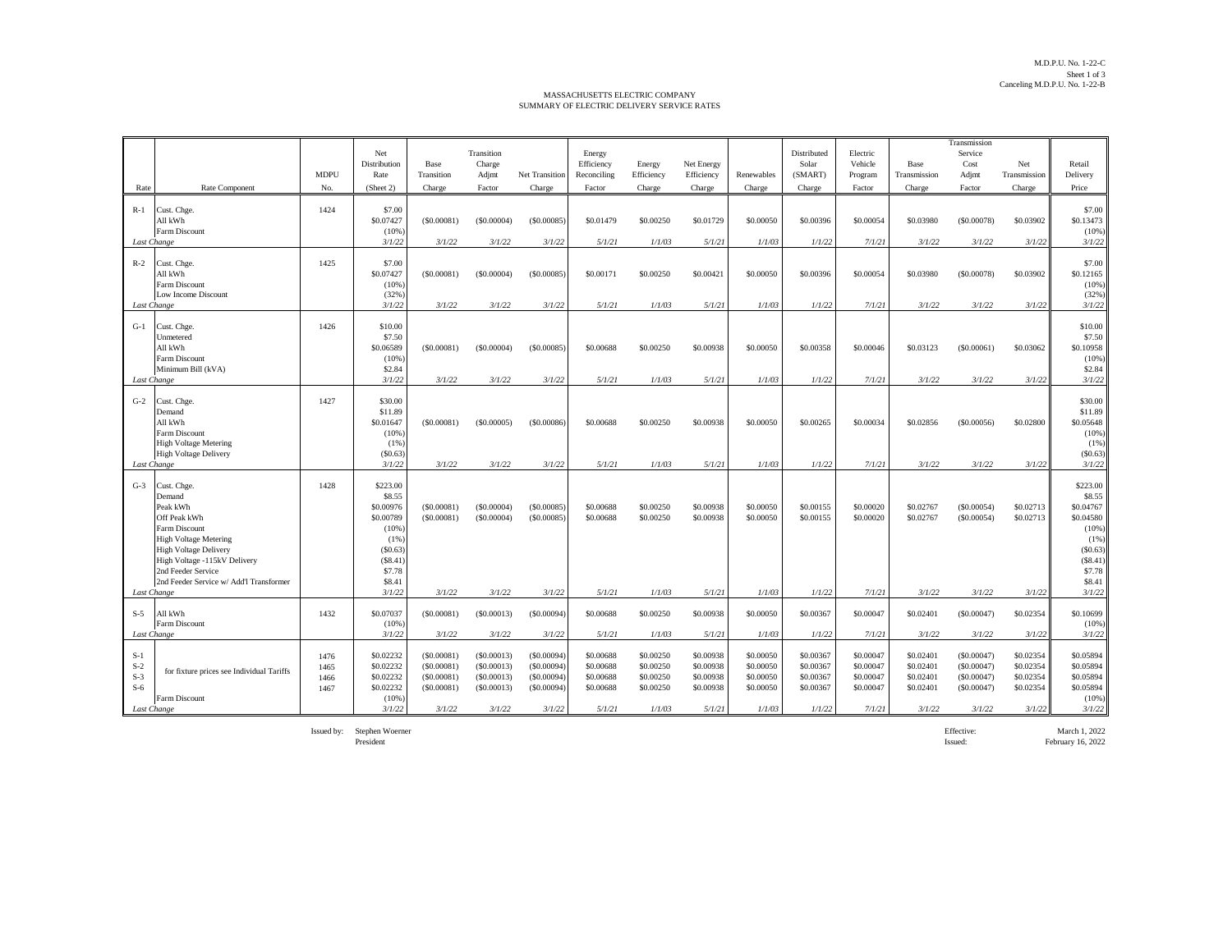## MASSACHUSETTS ELECTRIC COMPANY SUMMARY OF ELECTRIC DELIVERY SERVICE RATES

|                |                                                              |              |                        |                          |                          |                          |                           |                        |                          |                        |                        |                        |                        | Transmission                 |                        |                        |
|----------------|--------------------------------------------------------------|--------------|------------------------|--------------------------|--------------------------|--------------------------|---------------------------|------------------------|--------------------------|------------------------|------------------------|------------------------|------------------------|------------------------------|------------------------|------------------------|
|                |                                                              |              | Net                    |                          | Transition               |                          | Energy                    |                        |                          |                        | Distributed            | Electric               |                        | Service                      |                        |                        |
|                |                                                              | <b>MDPU</b>  | Distribution<br>Rate   | Base<br>Transition       | Charge<br>Adjmt          | <b>Net Transition</b>    | Efficiency<br>Reconciling | Energy<br>Efficiency   | Net Energy<br>Efficiency | Renewables             | Solar<br>(SMART)       | Vehicle<br>Program     | Base<br>Transmission   | Cost<br>Adjmt                | Net<br>Transmission    | Retail<br>Delivery     |
| Rate           | Rate Component                                               | No.          | (Sheet 2)              | Charge                   | Factor                   | Charge                   | Factor                    | Charge                 | Charge                   | Charge                 | Charge                 | Factor                 | Charge                 | Factor                       | Charge                 | Price                  |
|                |                                                              |              |                        |                          |                          |                          |                           |                        |                          |                        |                        |                        |                        |                              |                        |                        |
| $R-1$          | Cust. Chge.                                                  | 1424         | \$7.00                 |                          |                          |                          |                           |                        |                          |                        |                        |                        |                        |                              |                        | \$7.00                 |
|                | All kWh                                                      |              | \$0.07427              | (S0.00081)               | (S0.00004)               | (S0.00085)               | \$0.01479                 | \$0.00250              | \$0.01729                | \$0.00050              | \$0.00396              | \$0.00054              | \$0.03980              | (\$0.00078)                  | \$0.03902              | \$0.13473              |
|                | Farm Discount<br>Last Change                                 |              | (10%<br>3/1/22         | 3/1/22                   | 3/1/22                   | 3/1/22                   | 5/1/21                    | 1/1/03                 | 5/1/21                   | 1/1/03                 | 1/1/22                 | 7/1/21                 | 3/1/22                 | 3/1/22                       | 3/1/22                 | (10%<br>3/1/22         |
|                |                                                              |              |                        |                          |                          |                          |                           |                        |                          |                        |                        |                        |                        |                              |                        |                        |
| $R-2$          | Cust. Chge.                                                  | 1425         | \$7.00                 |                          |                          |                          |                           |                        |                          |                        |                        |                        |                        |                              |                        | \$7.00                 |
|                | All kWh                                                      |              | \$0.07427              | (S0.00081)               | (S0.00004)               | (S0.00085)               | \$0.00171                 | \$0.00250              | \$0.00421                | \$0,00050              | \$0,00396              | \$0,00054              | \$0.03980              | (S0.00078)                   | \$0.03902              | \$0.12165              |
|                | Farm Discount<br>Low Income Discount                         |              | (10%<br>(32%)          |                          |                          |                          |                           |                        |                          |                        |                        |                        |                        |                              |                        | (10%<br>(32%           |
| Last Change    |                                                              |              | 3/1/22                 | 3/1/22                   | 3/1/22                   | 3/1/22                   | 5/1/21                    | 1/1/03                 | 5/1/21                   | 1/1/03                 | 1/1/22                 | 7/1/21                 | 3/1/22                 | 3/1/22                       | 3/1/22                 | 3/1/22                 |
|                |                                                              |              |                        |                          |                          |                          |                           |                        |                          |                        |                        |                        |                        |                              |                        |                        |
| $G-1$          | Cust. Chge.<br>Unmetered                                     | 1426         | \$10.00<br>\$7.50      |                          |                          |                          |                           |                        |                          |                        |                        |                        |                        |                              |                        | \$10.00<br>\$7.50      |
|                | All kWh                                                      |              | \$0.06589              | (S0.00081)               | (S0.00004)               | (S0.00085)               | \$0.00688                 | \$0.00250              | \$0.00938                | \$0.00050              | \$0.00358              | \$0.00046              | \$0.03123              | (\$0.00061)                  | \$0.03062              | \$0.10958              |
|                | Farm Discount                                                |              | (10%                   |                          |                          |                          |                           |                        |                          |                        |                        |                        |                        |                              |                        | (10%                   |
|                | Minimum Bill (kVA)                                           |              | \$2.84                 |                          |                          |                          |                           |                        |                          |                        |                        |                        |                        |                              |                        | \$2.84                 |
| Last Change    |                                                              |              | 3/1/22                 | 3/1/22                   | 3/1/22                   | 3/1/22                   | 5/1/21                    | 1/1/03                 | 5/1/21                   | 1/1/03                 | 1/1/22                 | 7/1/21                 | 3/1/22                 | 3/1/22                       | 3/1/22                 | 3/1/22                 |
| $G-2$          | Cust. Chge.                                                  | 1427         | \$30.00                |                          |                          |                          |                           |                        |                          |                        |                        |                        |                        |                              |                        | \$30.00                |
|                | Demand                                                       |              | \$11.89                |                          |                          |                          |                           |                        |                          |                        |                        |                        |                        |                              |                        | \$11.89                |
|                | All kWh                                                      |              | \$0.01647              | (S0.00081)               | (\$0.00005)              | $($ \$0,00086)           | \$0.00688                 | \$0.00250              | \$0.00938                | \$0,00050              | \$0,00265              | \$0,00034              | \$0.02856              | (\$0.00056)                  | \$0.02800              | \$0.05648              |
|                | Farm Discount<br><b>High Voltage Metering</b>                |              | (10%<br>(1%            |                          |                          |                          |                           |                        |                          |                        |                        |                        |                        |                              |                        | (10%<br>(1%            |
|                | <b>High Voltage Delivery</b>                                 |              | (S0.63)                |                          |                          |                          |                           |                        |                          |                        |                        |                        |                        |                              |                        | (\$0.63                |
|                | Last Change                                                  |              | 3/1/22                 | 3/1/22                   | 3/1/22                   | 3/1/22                   | 5/1/21                    | 1/1/03                 | 5/1/21                   | 1/1/03                 | 1/1/22                 | 7/1/21                 | 3/1/22                 | 3/1/22                       | 3/1/22                 | 3/1/22                 |
| $G-3$          |                                                              | 1428         | \$223.00               |                          |                          |                          |                           |                        |                          |                        |                        |                        |                        |                              |                        |                        |
|                | Cust. Chge.<br>Demand                                        |              | \$8.55                 |                          |                          |                          |                           |                        |                          |                        |                        |                        |                        |                              |                        | \$223.00<br>\$8.55     |
|                | Peak kWh                                                     |              | \$0.00976              | (S0.00081)               | (S0.00004)               | (S0.00085)               | \$0.00688                 | \$0.00250              | \$0.00938                | \$0,00050              | \$0,00155              | \$0,00020              | \$0.02767              | (S0,00054)                   | \$0.02713              | \$0.04767              |
|                | Off Peak kWh                                                 |              | \$0.00789              | (S0.00081)               | (S0.00004)               | (S0,00085)               | \$0,00688                 | \$0.00250              | \$0,00938                | \$0,00050              | \$0,00155              | \$0,00020              | \$0.02767              | (S0,00054)                   | \$0.02713              | \$0.04580              |
|                | Farm Discount                                                |              | (10%<br>(1%            |                          |                          |                          |                           |                        |                          |                        |                        |                        |                        |                              |                        | (10%                   |
|                | <b>High Voltage Metering</b><br><b>High Voltage Delivery</b> |              | (S0.63)                |                          |                          |                          |                           |                        |                          |                        |                        |                        |                        |                              |                        | (1%<br>(S0.63)         |
|                | High Voltage -115kV Delivery                                 |              | (\$8.41)               |                          |                          |                          |                           |                        |                          |                        |                        |                        |                        |                              |                        | (S8.41)                |
|                | 2nd Feeder Service                                           |              | \$7.78                 |                          |                          |                          |                           |                        |                          |                        |                        |                        |                        |                              |                        | \$7.78                 |
|                | 2nd Feeder Service w/ Add'l Transformer<br>Last Change       |              | \$8.41<br>3/1/22       | 3/1/22                   | 3/1/22                   | 3/1/22                   | 5/1/21                    | 1/1/03                 | 5/1/21                   | 1/1/03                 | 1/1/22                 | 7/1/21                 | 3/1/22                 | 3/1/22                       | 3/1/22                 | \$8.41<br>3/1/22       |
|                |                                                              |              |                        |                          |                          |                          |                           |                        |                          |                        |                        |                        |                        |                              |                        |                        |
| $S-5$          | All kWh                                                      | 1432         | \$0.07037              | (S0.00081)               | (S0.00013)               | (S0.00094)               | \$0.00688                 | \$0.00250              | \$0.00938                | \$0.00050              | \$0,00367              | \$0.00047              | \$0.02401              | (\$0.00047)                  | \$0.02354              | \$0.10699              |
|                | Farm Discount                                                |              | (10%                   |                          |                          |                          |                           |                        |                          |                        |                        |                        |                        |                              |                        | (10%                   |
|                | Last Change                                                  |              | 3/1/22                 | 3/1/22                   | 3/1/22                   | 3/1/22                   | 5/1/21                    | 1/1/03                 | 5/1/21                   | 1/1/03                 | 1/1/22                 | 7/1/21                 | 3/1/22                 | 3/1/22                       | 3/1/22                 | 3/1/22                 |
| $S-1$          |                                                              | 1476         | \$0.02232              | (S0.00081)               | (S0.00013)               | (S0.00094)               | \$0.00688                 | \$0.00250              | \$0.00938                | \$0.00050              | \$0.00367              | \$0,00047              | \$0.02401              | (\$0.00047)                  | \$0.02354              | \$0.05894              |
| $S-2$          | for fixture prices see Individual Tariffs                    | 1465         | \$0.02232              | (S0.00081)               | (S0.00013)               | (S0.00094)               | \$0.00688                 | \$0.00250              | \$0.00938                | \$0.00050              | \$0.00367              | \$0.00047              | \$0.02401              | $(\$0.00047)$                | \$0.02354              | \$0.05894              |
| $S-3$<br>$S-6$ |                                                              | 1466<br>1467 | \$0.02232<br>\$0.02232 | (S0.00081)<br>(S0.00081) | (S0.00013)<br>(S0.00013) | (S0.00094)<br>(S0.00094) | \$0.00688<br>\$0.00688    | \$0.00250<br>\$0.00250 | \$0.00938<br>\$0.00938   | \$0.00050<br>\$0.00050 | \$0.00367<br>\$0.00367 | \$0.00047<br>\$0.00047 | \$0.02401<br>\$0.02401 | (\$0.00047)<br>$(\$0.00047)$ | \$0.02354<br>\$0.02354 | \$0.05894<br>\$0.05894 |
|                | Farm Discount                                                |              | (10%                   |                          |                          |                          |                           |                        |                          |                        |                        |                        |                        |                              |                        | (10%                   |
|                | Last Change                                                  |              | 3/1/22                 | 3/1/22                   | 3/1/22                   | 3/1/22                   | 5/1/21                    | 1/1/03                 | 5/1/21                   | 1/1/03                 | 1/1/22                 | 7/1/21                 | 3/1/22                 | 3/1/22                       | 3/1/22                 | 3/1/22                 |

Issued by: Stephen Woerner Effective: March 1, 2022

President Issued: February 16, 2022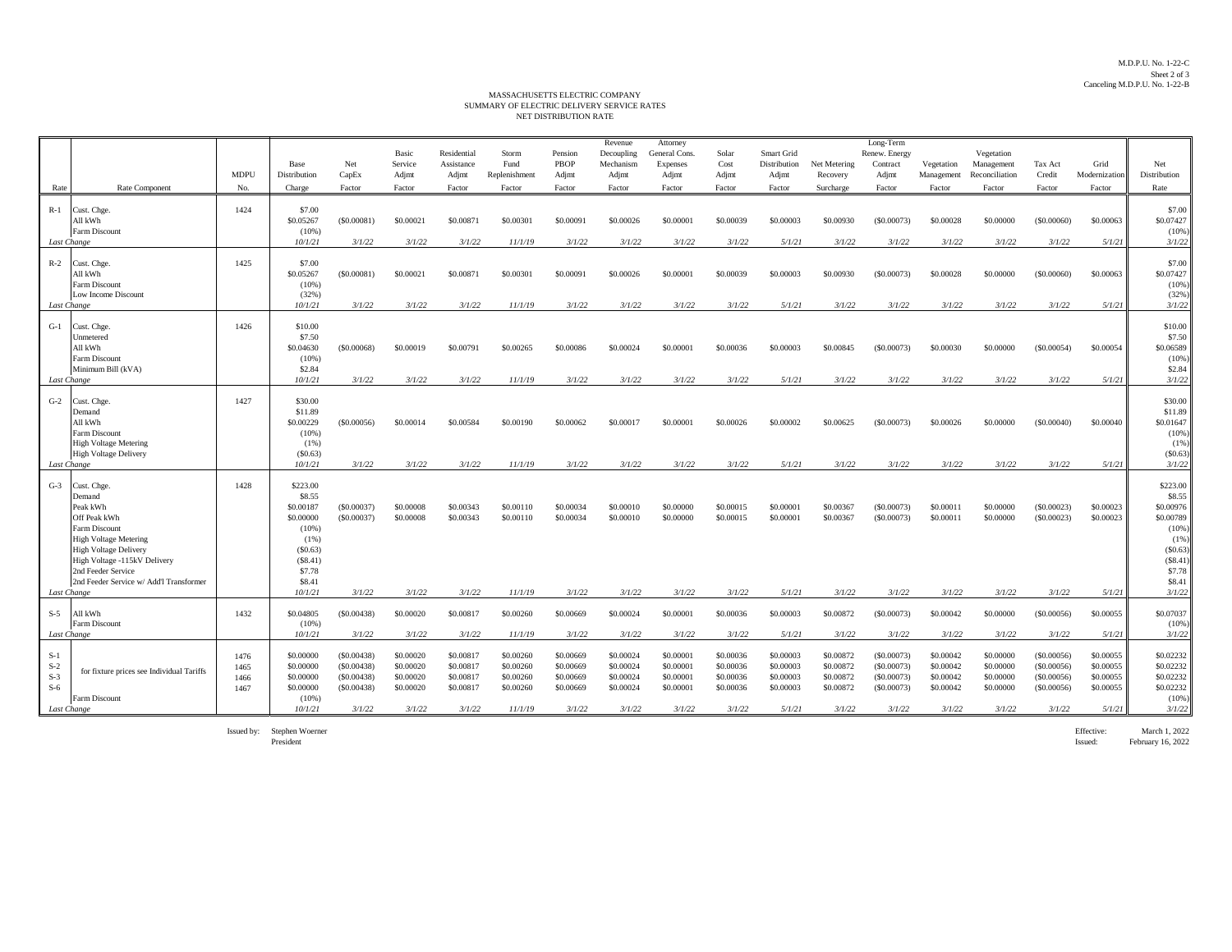## MASSACHUSETTS ELECTRIC COMPANY MASSACHUSETTS ELECTRIC COMPANY SUMMARY OF ELECTRIC DELIVERY SERVICE RATES SUMMARY OF ELECTRIC DELIVERY SERVICE RATESNET DISTRIBUTION RATE

|                    |                                                      |              |                        |                          |                        |                        |                        |                        | Revenue                | Attorney               |                        |                        |                        | Long-Term                 |                        |                        |                          |                        |                        |
|--------------------|------------------------------------------------------|--------------|------------------------|--------------------------|------------------------|------------------------|------------------------|------------------------|------------------------|------------------------|------------------------|------------------------|------------------------|---------------------------|------------------------|------------------------|--------------------------|------------------------|------------------------|
|                    |                                                      |              |                        |                          | Basic                  | Residential            | Storm                  | Pension                | Decoupling             | General Cons.          | Solar                  | Smart Grid             |                        | Renew. Energy             |                        | Vegetation             |                          |                        |                        |
|                    |                                                      |              | Base                   | Net                      | Service                | Assistance             | Fund                   | <b>PBOP</b>            | Mechanism              | Expenses               | Cost                   | Distribution           | Net Metering           | Contract                  | Vegetation             | Management             | Tax Act                  | Grid                   | Net                    |
|                    |                                                      | <b>MDPU</b>  | Distribution           | CapEx                    | Adjmt                  | Adjmt                  | Replenishment          | Adjmt                  | Adjmt                  | Adjmt                  | Adjmt                  | Adjmt                  | Recovery               | Adjmt                     | Management             | Reconciliation         | Credit                   | Modernization          | Distribution           |
| Rate               | Rate Component                                       | No.          | Charge                 | Factor                   | Factor                 | Factor                 | Factor                 | Factor                 | Factor                 | Factor                 | Factor                 | Factor                 | Surcharge              | Factor                    | Factor                 | Factor                 | Factor                   | Factor                 | Rate                   |
| $R-1$              | Cust. Chge.                                          | 1424         | \$7.00                 |                          |                        |                        |                        |                        |                        |                        |                        |                        |                        |                           |                        |                        |                          |                        | \$7.00                 |
|                    | All kWh                                              |              | \$0.05267              | (S0,00081)               | \$0,00021              | \$0,0087               | \$0,00301              | \$0,00091              | \$0,00026              | \$0,00001              | \$0,00039              | \$0,00003              | \$0,00930              | (S0.00073)                | \$0,00028              | \$0,00000              | (S0,00060)               | \$0,00063              | \$0.07427              |
|                    | Farm Discount                                        |              | (10%                   |                          |                        |                        |                        |                        |                        |                        |                        |                        |                        |                           |                        |                        |                          |                        | $(10\%)$               |
| Last Change        |                                                      |              | 10/1/21                | 3/1/22                   | 3/1/22                 | 3/1/22                 | 11/1/19                | 3/1/22                 | 3/1/22                 | 3/1/22                 | 3/1/22                 | 5/1/21                 | 3/1/22                 | 3/1/22                    | 3/1/22                 | 3/1/22                 | 3/1/22                   | 5/1/21                 | 3/1/22                 |
|                    |                                                      |              |                        |                          |                        |                        |                        |                        |                        |                        |                        |                        |                        |                           |                        |                        |                          |                        |                        |
| $R-2$              | Cust. Chge.<br>All kWh                               | 1425         | \$7.00                 | (S0.00081)               |                        |                        |                        | \$0,00091              | \$0,00026              | \$0,00001              | \$0,00039              | \$0,00003              | \$0,00930              |                           |                        | \$0,00000              | (S0,00060)               | \$0,00063              | \$7.00                 |
|                    | Farm Discount                                        |              | \$0.05267<br>(10%)     |                          | \$0,00021              | \$0,0087               | \$0,00301              |                        |                        |                        |                        |                        |                        | (S0.00073)                | \$0,00028              |                        |                          |                        | \$0.07427<br>(10%)     |
|                    | Low Income Discount                                  |              | (32%)                  |                          |                        |                        |                        |                        |                        |                        |                        |                        |                        |                           |                        |                        |                          |                        | (32%)                  |
| Last Change        |                                                      |              | 10/1/21                | 3/1/22                   | 3/1/22                 | 3/1/22                 | 11/1/19                | 3/1/22                 | 3/1/22                 | 3/1/22                 | 3/1/22                 | 5/1/21                 | 3/1/22                 | 3/1/22                    | 3/1/22                 | 3/1/22                 | 3/1/22                   | 5/1/21                 | 3/1/22                 |
|                    |                                                      |              |                        |                          |                        |                        |                        |                        |                        |                        |                        |                        |                        |                           |                        |                        |                          |                        |                        |
| $G-1$              | Cust. Chge                                           | 1426         | \$10.00                |                          |                        |                        |                        |                        |                        |                        |                        |                        |                        |                           |                        |                        |                          |                        | \$10.00                |
|                    | Unmetered                                            |              | \$7.50                 |                          |                        |                        |                        | \$0,00086              |                        | \$0,00001              | \$0,00036              | \$0,00003              | \$0,00845              |                           |                        | \$0,00000              | (S0,00054)               | \$0,00054              | \$7.50                 |
|                    | All kWh<br>Farm Discount                             |              | \$0.04630<br>$(10\%)$  | $($ \$0,00068)           | \$0,00019              | \$0,00791              | \$0,00265              |                        | \$0.00024              |                        |                        |                        |                        | (S0.00073)                | \$0,00030              |                        |                          |                        | \$0.06589<br>$(10\%)$  |
|                    | Minimum Bill (kVA)                                   |              | \$2.84                 |                          |                        |                        |                        |                        |                        |                        |                        |                        |                        |                           |                        |                        |                          |                        | \$2.84                 |
| Last Change        |                                                      |              | 10/1/21                | 3/1/22                   | 3/1/22                 | 3/1/22                 | 11/1/19                | 3/1/22                 | 3/1/22                 | 3/1/22                 | 3/1/22                 | 5/1/21                 | 3/1/22                 | 3/1/22                    | 3/1/22                 | 3/1/22                 | 3/1/22                   | 5/1/21                 | 3/1/22                 |
|                    |                                                      |              |                        |                          |                        |                        |                        |                        |                        |                        |                        |                        |                        |                           |                        |                        |                          |                        |                        |
| $G-2$              | Cust. Chge.                                          | 1427         | \$30.00                |                          |                        |                        |                        |                        |                        |                        |                        |                        |                        |                           |                        |                        |                          |                        | \$30.00                |
|                    | Demand                                               |              | \$11.89                |                          |                        |                        |                        |                        |                        |                        |                        |                        |                        |                           |                        |                        |                          |                        | \$11.89                |
|                    | All kWh                                              |              | \$0.00229              | (S0.00056)               | \$0.00014              | \$0,00584              | \$0.00190              | \$0.00062              | \$0.00017              | \$0,00001              | \$0,00026              | \$0.00002              | \$0.00625              | (S0.00073)                | \$0.00026              | \$0,00000              | (S0.00040)               | \$0.00040              | \$0.01647              |
|                    | <b>Farm Discount</b><br><b>High Voltage Metering</b> |              | (10%                   |                          |                        |                        |                        |                        |                        |                        |                        |                        |                        |                           |                        |                        |                          |                        | (10%)<br>$(1\%)$       |
|                    | <b>High Voltage Delivery</b>                         |              | (1%)<br>(S0.63)        |                          |                        |                        |                        |                        |                        |                        |                        |                        |                        |                           |                        |                        |                          |                        | (S0.63)                |
| Last Change        |                                                      |              | 10/1/21                | 3/1/22                   | 3/1/22                 | 3/1/22                 | 11/1/19                | 3/1/22                 | 3/1/22                 | 3/1/22                 | 3/1/22                 | 5/1/21                 | 3/1/22                 | 3/1/22                    | 3/1/22                 | 3/1/22                 | 3/1/22                   | 5/1/21                 | 3/1/22                 |
|                    |                                                      |              |                        |                          |                        |                        |                        |                        |                        |                        |                        |                        |                        |                           |                        |                        |                          |                        |                        |
| $G-3$              | Cust. Chge.                                          | 1428         | \$223.00               |                          |                        |                        |                        |                        |                        |                        |                        |                        |                        |                           |                        |                        |                          |                        | \$223.00               |
|                    | Demand                                               |              | \$8.55                 |                          |                        |                        |                        |                        |                        |                        |                        |                        |                        |                           |                        |                        |                          |                        | \$8.55                 |
|                    | Peak kWh                                             |              | \$0.00187              | (S0.00037)               | \$0,00008              | \$0.00343              | \$0,00110              | \$0,00034              | \$0,00010              | \$0,00000              | \$0,00015              | \$0,00001              | \$0,00367              | (S0.00073)                | \$0,00011              | \$0,00000              | (S0,00023)               | \$0,00023              | \$0.00976              |
|                    | Off Peak kWh<br><b>Farm Discount</b>                 |              | \$0.00000<br>(10%      | (S0.00037)               | \$0.00008              | \$0.00343              | \$0.00110              | \$0.00034              | \$0.00010              | \$0.00000              | \$0.00015              | \$0.00001              | \$0.00367              | (S0.00073)                | \$0.00011              | \$0.00000              | (S0.00023)               | \$0.00023              | \$0.00789<br>$(10\%)$  |
|                    | <b>High Voltage Metering</b>                         |              | (1%)                   |                          |                        |                        |                        |                        |                        |                        |                        |                        |                        |                           |                        |                        |                          |                        | (1%)                   |
|                    | <b>High Voltage Delivery</b>                         |              | (\$0.63)               |                          |                        |                        |                        |                        |                        |                        |                        |                        |                        |                           |                        |                        |                          |                        | (S0.63)                |
|                    | High Voltage -115kV Delivery                         |              | (S8.41)                |                          |                        |                        |                        |                        |                        |                        |                        |                        |                        |                           |                        |                        |                          |                        | (\$8.41)               |
|                    | 2nd Feeder Service                                   |              | \$7.78                 |                          |                        |                        |                        |                        |                        |                        |                        |                        |                        |                           |                        |                        |                          |                        | \$7.78                 |
|                    | 2nd Feeder Service w/ Add'l Transformer              |              | \$8.41                 |                          |                        |                        |                        |                        |                        |                        |                        |                        |                        |                           |                        |                        |                          |                        | \$8.41                 |
| <b>Last Change</b> |                                                      |              | 10/1/21                | 3/1/22                   | 3/1/22                 | 3/1/22                 | 11/1/19                | 3/1/22                 | 3/1/22                 | 3/1/22                 | 3/1/22                 | 5/1/21                 | 3/1/22                 | 3/1/22                    | 3/1/22                 | 3/1/22                 | 3/1/22                   | 5/1/21                 | 3/1/22                 |
| $S-5$              | All kWh                                              | 1432         | \$0.04805              | (S0.00438)               | \$0,00020              | \$0,00817              | \$0,00260              | \$0,00669              | \$0.00024              | \$0,00001              | \$0,00036              | \$0,00003              | \$0.00872              | (S0.00073)                | \$0,00042              | \$0,00000              | $($ \$0.00056)           | \$0,00055              | \$0.07037              |
|                    | Farm Discount                                        |              | (10%                   |                          |                        |                        |                        |                        |                        |                        |                        |                        |                        |                           |                        |                        |                          |                        | $(10\%)$               |
| Last Change        |                                                      |              | 10/1/21                | 3/1/22                   | 3/1/22                 | 3/1/22                 | 11/1/19                | 3/1/22                 | 3/1/22                 | 3/1/22                 | 3/1/22                 | 5/1/21                 | 3/1/22                 | 3/1/22                    | 3/1/22                 | 3/1/22                 | 3/1/22                   | 5/1/21                 | 3/1/22                 |
|                    |                                                      |              |                        |                          |                        |                        |                        |                        |                        |                        |                        |                        |                        |                           |                        |                        |                          |                        |                        |
| $S-1$              |                                                      | 1476         | \$0,00000              | (S0.00438)               | \$0,00020              | \$0,00817              | \$0,00260              | \$0,00669              | \$0.00024              | \$0,00001              | \$0,00036              | \$0,00003              | \$0.00872              | (S0.00073)                | \$0,00042              | \$0,00000              | (S0,00056)               | \$0,00055              | \$0.02232              |
| $S-2$<br>$S-3$     | for fixture prices see Individual Tariffs            | 1465         | \$0.00000<br>\$0,00000 | (S0.00438)<br>(S0.00438) | \$0.00020<br>\$0,00020 | \$0.00817<br>\$0,00817 | \$0.00260<br>\$0,00260 | \$0.00669<br>\$0,00669 | \$0.00024<br>\$0,00024 | \$0.00001<br>\$0,00001 | \$0.00036<br>\$0,00036 | \$0.00003<br>\$0,00003 | \$0.00872<br>\$0.00872 | (\$0.00073)<br>(S0.00073) | \$0.00042<br>\$0,00042 | \$0.00000<br>\$0,00000 | (S0.00056)<br>(S0,00056) | \$0.00055<br>\$0,00055 | \$0.02232<br>\$0.02232 |
| $S-6$              |                                                      | 1466<br>1467 | \$0.00000              | (S0.00438)               | \$0.00020              | \$0,00817              | \$0.00260              | \$0.00669              | \$0.00024              | \$0.00001              | \$0.00036              | \$0.00003              | \$0.00872              | (S0.00073)                | \$0.00042              | \$0.00000              | (S0.00056)               | \$0.00055              | \$0.02232              |
|                    | Farm Discount                                        |              | $(10\%)$               |                          |                        |                        |                        |                        |                        |                        |                        |                        |                        |                           |                        |                        |                          |                        | $(10\%)$               |
| Last Change        |                                                      |              | 10/1/21                | 3/1/22                   | 3/1/22                 | 3/1/22                 | 11/1/19                | 3/1/22                 | 3/1/22                 | 3/1/22                 | 3/1/22                 | 5/1/21                 | 3/1/22                 | 3/1/22                    | 3/1/22                 | 3/1/22                 | 3/1/22                   | 5/1/21                 | 3/1/22                 |

Issued by: Stephen Woerner

Stephen Woerner Effective: March 1, 2022

President Issued: February 16, 2022